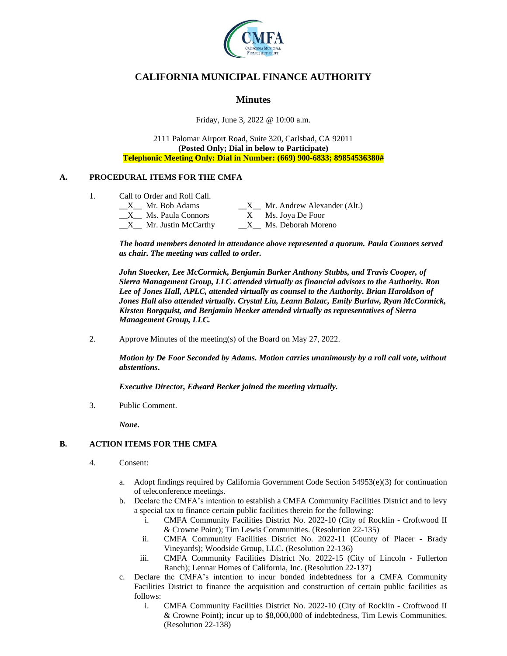

# **CALIFORNIA MUNICIPAL FINANCE AUTHORITY**

# **Minutes**

Friday, June 3, 2022 @ 10:00 a.m.

2111 Palomar Airport Road, Suite 320, Carlsbad, CA 92011 **(Posted Only; Dial in below to Participate) Telephonic Meeting Only: Dial in Number: (669) 900-6833; 89854536380#**

# **A. PROCEDURAL ITEMS FOR THE CMFA**

1. Call to Order and Roll Call.

| Mr. Bob Adams                        | $X$ Mr. Andrew Alexander (Alt.) |
|--------------------------------------|---------------------------------|
| Ms. Paula Connors                    | Ms. Joya De Foor                |
| $X_{\text{max}}$ Mr. Justin McCarthy | Ms. Deborah Moreno              |

*The board members denoted in attendance above represented a quorum. Paula Connors served as chair. The meeting was called to order.*

*John Stoecker, Lee McCormick, Benjamin Barker Anthony Stubbs, and Travis Cooper, of Sierra Management Group, LLC attended virtually as financial advisors to the Authority. Ron Lee of Jones Hall, APLC, attended virtually as counsel to the Authority. Brian Haroldson of Jones Hall also attended virtually. Crystal Liu, Leann Balzac, Emily Burlaw, Ryan McCormick, Kirsten Borgquist, and Benjamin Meeker attended virtually as representatives of Sierra Management Group, LLC.*

2. Approve Minutes of the meeting(s) of the Board on May 27, 2022.

*Motion by De Foor Seconded by Adams. Motion carries unanimously by a roll call vote, without abstentions***.**

*Executive Director, Edward Becker joined the meeting virtually.*

3. Public Comment.

*None.*

# **B. ACTION ITEMS FOR THE CMFA**

- 4. Consent:
	- a. Adopt findings required by California Government Code Section 54953(e)(3) for continuation of teleconference meetings.
	- b. Declare the CMFA's intention to establish a CMFA Community Facilities District and to levy a special tax to finance certain public facilities therein for the following:
		- i. CMFA Community Facilities District No. 2022-10 (City of Rocklin Croftwood II & Crowne Point); Tim Lewis Communities. (Resolution 22-135)
		- ii. CMFA Community Facilities District No. 2022-11 (County of Placer Brady Vineyards); Woodside Group, LLC. (Resolution 22-136)
		- iii. CMFA Community Facilities District No. 2022-15 (City of Lincoln Fullerton Ranch); Lennar Homes of California, Inc. (Resolution 22-137)
	- c. Declare the CMFA's intention to incur bonded indebtedness for a CMFA Community Facilities District to finance the acquisition and construction of certain public facilities as follows:
		- i. CMFA Community Facilities District No. 2022-10 (City of Rocklin Croftwood II & Crowne Point); incur up to \$8,000,000 of indebtedness, Tim Lewis Communities. (Resolution 22-138)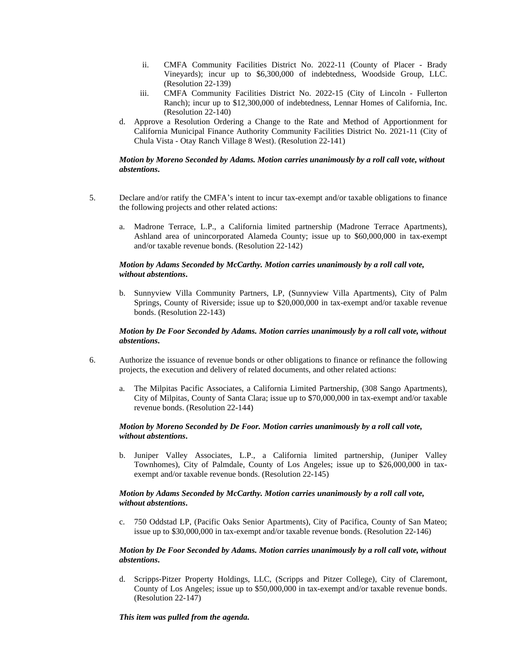- ii. CMFA Community Facilities District No. 2022-11 (County of Placer Brady Vineyards); incur up to \$6,300,000 of indebtedness, Woodside Group, LLC. (Resolution 22-139)
- iii. CMFA Community Facilities District No. 2022-15 (City of Lincoln Fullerton Ranch); incur up to \$12,300,000 of indebtedness, Lennar Homes of California, Inc. (Resolution 22-140)
- d. Approve a Resolution Ordering a Change to the Rate and Method of Apportionment for California Municipal Finance Authority Community Facilities District No. 2021-11 (City of Chula Vista - Otay Ranch Village 8 West). (Resolution 22-141)

# *Motion by Moreno Seconded by Adams. Motion carries unanimously by a roll call vote, without abstentions***.**

- 5. Declare and/or ratify the CMFA's intent to incur tax-exempt and/or taxable obligations to finance the following projects and other related actions:
	- a. Madrone Terrace, L.P., a California limited partnership (Madrone Terrace Apartments), Ashland area of unincorporated Alameda County; issue up to \$60,000,000 in tax-exempt and/or taxable revenue bonds. (Resolution 22-142)

### *Motion by Adams Seconded by McCarthy. Motion carries unanimously by a roll call vote, without abstentions***.**

b. Sunnyview Villa Community Partners, LP, (Sunnyview Villa Apartments), City of Palm Springs, County of Riverside; issue up to \$20,000,000 in tax-exempt and/or taxable revenue bonds. (Resolution 22-143)

#### *Motion by De Foor Seconded by Adams. Motion carries unanimously by a roll call vote, without abstentions***.**

- 6. Authorize the issuance of revenue bonds or other obligations to finance or refinance the following projects, the execution and delivery of related documents, and other related actions:
	- a. The Milpitas Pacific Associates, a California Limited Partnership, (308 Sango Apartments), City of Milpitas, County of Santa Clara; issue up to \$70,000,000 in tax-exempt and/or taxable revenue bonds. (Resolution 22-144)

### *Motion by Moreno Seconded by De Foor. Motion carries unanimously by a roll call vote, without abstentions***.**

b. Juniper Valley Associates, L.P., a California limited partnership, (Juniper Valley Townhomes), City of Palmdale, County of Los Angeles; issue up to \$26,000,000 in taxexempt and/or taxable revenue bonds. (Resolution 22-145)

### *Motion by Adams Seconded by McCarthy. Motion carries unanimously by a roll call vote, without abstentions***.**

c. 750 Oddstad LP, (Pacific Oaks Senior Apartments), City of Pacifica, County of San Mateo; issue up to \$30,000,000 in tax-exempt and/or taxable revenue bonds. (Resolution 22-146)

### *Motion by De Foor Seconded by Adams. Motion carries unanimously by a roll call vote, without abstentions***.**

d. Scripps-Pitzer Property Holdings, LLC, (Scripps and Pitzer College), City of Claremont, County of Los Angeles; issue up to \$50,000,000 in tax-exempt and/or taxable revenue bonds. (Resolution 22-147)

# *This item was pulled from the agenda.*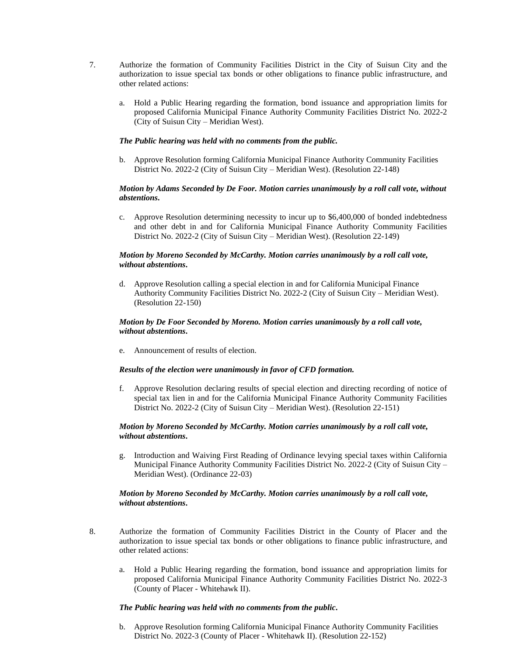- 7. Authorize the formation of Community Facilities District in the City of Suisun City and the authorization to issue special tax bonds or other obligations to finance public infrastructure, and other related actions:
	- a. Hold a Public Hearing regarding the formation, bond issuance and appropriation limits for proposed California Municipal Finance Authority Community Facilities District No. 2022-2 (City of Suisun City – Meridian West).

#### *The Public hearing was held with no comments from the public.*

b. Approve Resolution forming California Municipal Finance Authority Community Facilities District No. 2022-2 (City of Suisun City – Meridian West). (Resolution 22-148)

#### *Motion by Adams Seconded by De Foor. Motion carries unanimously by a roll call vote, without abstentions***.**

c. Approve Resolution determining necessity to incur up to \$6,400,000 of bonded indebtedness and other debt in and for California Municipal Finance Authority Community Facilities District No. 2022-2 (City of Suisun City – Meridian West). (Resolution 22-149)

### *Motion by Moreno Seconded by McCarthy. Motion carries unanimously by a roll call vote, without abstentions***.**

d. Approve Resolution calling a special election in and for California Municipal Finance Authority Community Facilities District No. 2022-2 (City of Suisun City – Meridian West). (Resolution 22-150)

# *Motion by De Foor Seconded by Moreno. Motion carries unanimously by a roll call vote, without abstentions***.**

e. Announcement of results of election.

#### *Results of the election were unanimously in favor of CFD formation.*

f. Approve Resolution declaring results of special election and directing recording of notice of special tax lien in and for the California Municipal Finance Authority Community Facilities District No. 2022-2 (City of Suisun City – Meridian West). (Resolution 22-151)

#### *Motion by Moreno Seconded by McCarthy. Motion carries unanimously by a roll call vote, without abstentions***.**

g. Introduction and Waiving First Reading of Ordinance levying special taxes within California Municipal Finance Authority Community Facilities District No. 2022-2 (City of Suisun City – Meridian West). (Ordinance 22-03)

### *Motion by Moreno Seconded by McCarthy. Motion carries unanimously by a roll call vote, without abstentions***.**

- 8. Authorize the formation of Community Facilities District in the County of Placer and the authorization to issue special tax bonds or other obligations to finance public infrastructure, and other related actions:
	- a. Hold a Public Hearing regarding the formation, bond issuance and appropriation limits for proposed California Municipal Finance Authority Community Facilities District No. 2022-3 (County of Placer - Whitehawk II).

#### *The Public hearing was held with no comments from the public.*

b. Approve Resolution forming California Municipal Finance Authority Community Facilities District No. 2022-3 (County of Placer - Whitehawk II). (Resolution 22-152)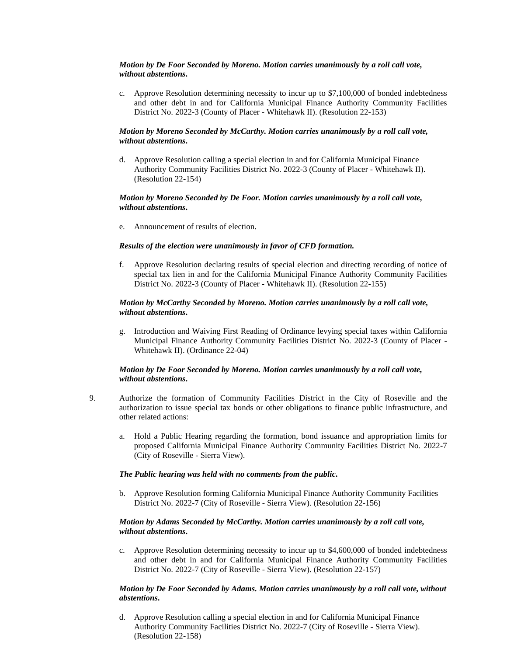#### *Motion by De Foor Seconded by Moreno. Motion carries unanimously by a roll call vote, without abstentions***.**

c. Approve Resolution determining necessity to incur up to \$7,100,000 of bonded indebtedness and other debt in and for California Municipal Finance Authority Community Facilities District No. 2022-3 (County of Placer - Whitehawk II). (Resolution 22-153)

# *Motion by Moreno Seconded by McCarthy. Motion carries unanimously by a roll call vote, without abstentions***.**

d. Approve Resolution calling a special election in and for California Municipal Finance Authority Community Facilities District No. 2022-3 (County of Placer - Whitehawk II). (Resolution 22-154)

#### *Motion by Moreno Seconded by De Foor. Motion carries unanimously by a roll call vote, without abstentions***.**

e. Announcement of results of election.

# *Results of the election were unanimously in favor of CFD formation.*

f. Approve Resolution declaring results of special election and directing recording of notice of special tax lien in and for the California Municipal Finance Authority Community Facilities District No. 2022-3 (County of Placer - Whitehawk II). (Resolution 22-155)

### *Motion by McCarthy Seconded by Moreno. Motion carries unanimously by a roll call vote, without abstentions***.**

g. Introduction and Waiving First Reading of Ordinance levying special taxes within California Municipal Finance Authority Community Facilities District No. 2022-3 (County of Placer - Whitehawk II). (Ordinance 22-04)

### *Motion by De Foor Seconded by Moreno. Motion carries unanimously by a roll call vote, without abstentions***.**

- 9. Authorize the formation of Community Facilities District in the City of Roseville and the authorization to issue special tax bonds or other obligations to finance public infrastructure, and other related actions:
	- a. Hold a Public Hearing regarding the formation, bond issuance and appropriation limits for proposed California Municipal Finance Authority Community Facilities District No. 2022-7 (City of Roseville - Sierra View).

#### *The Public hearing was held with no comments from the public.*

b. Approve Resolution forming California Municipal Finance Authority Community Facilities District No. 2022-7 (City of Roseville - Sierra View). (Resolution 22-156)

### *Motion by Adams Seconded by McCarthy. Motion carries unanimously by a roll call vote, without abstentions***.**

c. Approve Resolution determining necessity to incur up to \$4,600,000 of bonded indebtedness and other debt in and for California Municipal Finance Authority Community Facilities District No. 2022-7 (City of Roseville - Sierra View). (Resolution 22-157)

### *Motion by De Foor Seconded by Adams. Motion carries unanimously by a roll call vote, without abstentions***.**

d. Approve Resolution calling a special election in and for California Municipal Finance Authority Community Facilities District No. 2022-7 (City of Roseville - Sierra View). (Resolution 22-158)